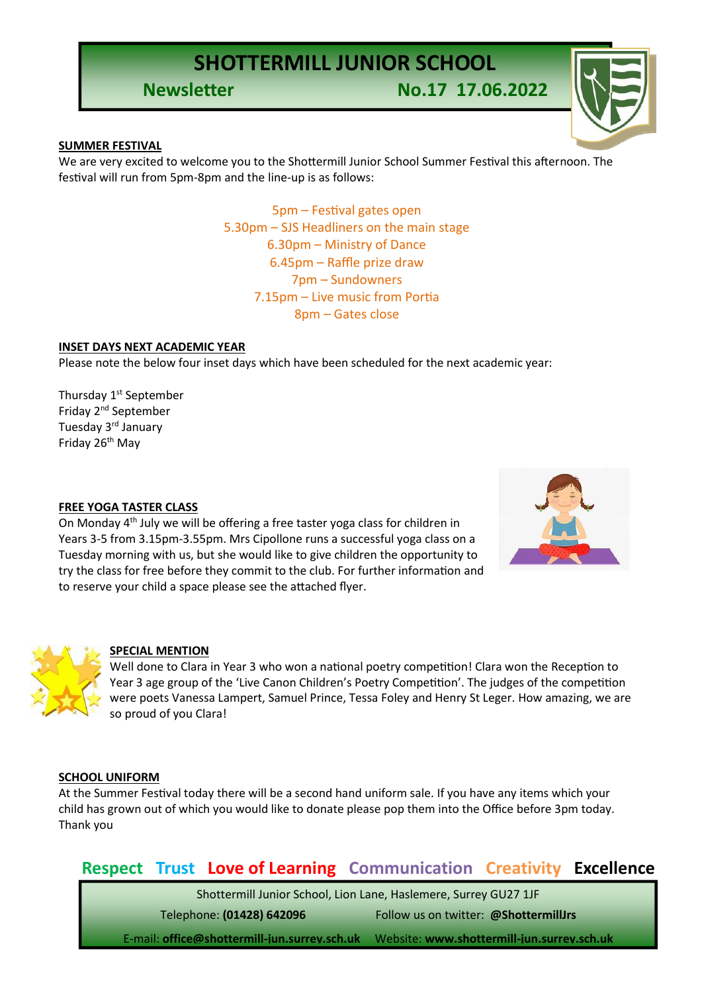**Newsletter No.17 17.06.2022**



#### **SUMMER FESTIVAL**

We are very excited to welcome you to the Shottermill Junior School Summer Festival this afternoon. The festival will run from 5pm-8pm and the line-up is as follows:

> 5pm – Festival gates open 5.30pm – SJS Headliners on the main stage 6.30pm – Ministry of Dance 6.45pm – Raffle prize draw 7pm – Sundowners 7.15pm – Live music from Portia 8pm – Gates close

#### **INSET DAYS NEXT ACADEMIC YEAR**

Please note the below four inset days which have been scheduled for the next academic year:

Thursday 1<sup>st</sup> September Friday 2nd September Tuesday 3rd January Friday 26th May

#### **FREE YOGA TASTER CLASS**

On Monday 4<sup>th</sup> July we will be offering a free taster yoga class for children in Years 3-5 from 3.15pm-3.55pm. Mrs Cipollone runs a successful yoga class on a Tuesday morning with us, but she would like to give children the opportunity to try the class for free before they commit to the club. For further information and to reserve your child a space please see the attached flyer.





#### **SPECIAL MENTION**

Well done to Clara in Year 3 who won a national poetry competition! Clara won the Reception to Year 3 age group of the 'Live Canon Children's Poetry Competition'. The judges of the competition were poets Vanessa Lampert, Samuel Prince, Tessa Foley and Henry St Leger. How amazing, we are so proud of you Clara!

#### **SCHOOL UNIFORM**

At the Summer Festival today there will be a second hand uniform sale. If you have any items which your child has grown out of which you would like to donate please pop them into the Office before 3pm today. Thank you

### **Respect Trust Love of Learning Communication Creativity Excellence**

Shottermill Junior School, Lion Lane, Haslemere, Surrey GU27 1JF Telephone: **(01428) 642096** Follow us on twitter: **@ShottermillJrs**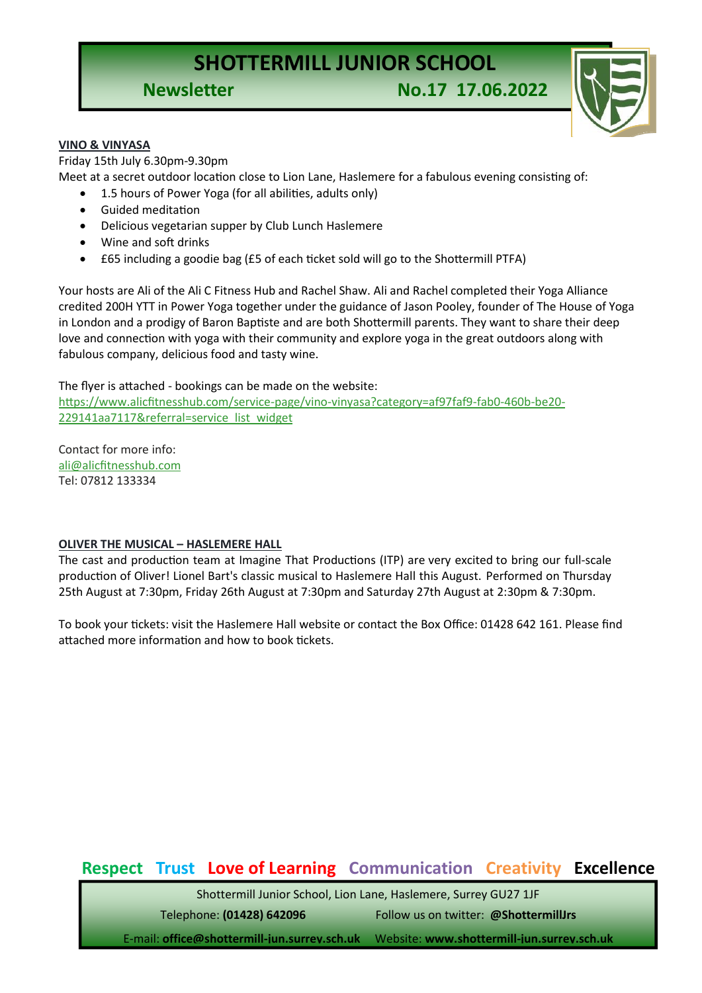**Newsletter No.17 17.06.2022**



#### **VINO & VINYASA**

Friday 15th July 6.30pm-9.30pm Meet at a secret outdoor location close to Lion Lane, Haslemere for a fabulous evening consisting of:

- 1.5 hours of Power Yoga (for all abilities, adults only)
	- Guided meditation
	- Delicious vegetarian supper by Club Lunch Haslemere
	- Wine and soft drinks
	- £65 including a goodie bag (£5 of each ticket sold will go to the Shottermill PTFA)

Your hosts are Ali of the Ali C Fitness Hub and Rachel Shaw. Ali and Rachel completed their Yoga Alliance credited 200H YTT in Power Yoga together under the guidance of Jason Pooley, founder of The House of Yoga in London and a prodigy of Baron Baptiste and are both Shottermill parents. They want to share their deep love and connection with yoga with their community and explore yoga in the great outdoors along with fabulous company, delicious food and tasty wine.

The flyer is attached - bookings can be made on the website:

[https://www.alicfitnesshub.com/service-page/vino-vinyasa?category=af97faf9-fab0-460b-be20-](https://www.alicfitnesshub.com/service-page/vino-vinyasa?category=af97faf9-fab0-460b-be20-229141aa7117&referral=service_list_widget) [229141aa7117&referral=service\\_list\\_widget](https://www.alicfitnesshub.com/service-page/vino-vinyasa?category=af97faf9-fab0-460b-be20-229141aa7117&referral=service_list_widget)

Contact for more info: [ali@alicfitnesshub.com](mailto:ali@alicfitnesshub.com) Tel: 07812 133334

#### **OLIVER THE MUSICAL – HASLEMERE HALL**

The cast and production team at Imagine That Productions (ITP) are very excited to bring our full-scale production of Oliver! Lionel Bart's classic musical to Haslemere Hall this August. Performed on Thursday 25th August at 7:30pm, Friday 26th August at 7:30pm and Saturday 27th August at 2:30pm & 7:30pm.

To book your tickets: visit the Haslemere Hall website or contact the Box Office: 01428 642 161. Please find attached more information and how to book tickets.

## **Respect Trust Love of Learning Communication Creativity Excellence**

Shottermill Junior School, Lion Lane, Haslemere, Surrey GU27 1JF

Telephone: **(01428) 642096** Follow us on twitter: **@ShottermillJrs**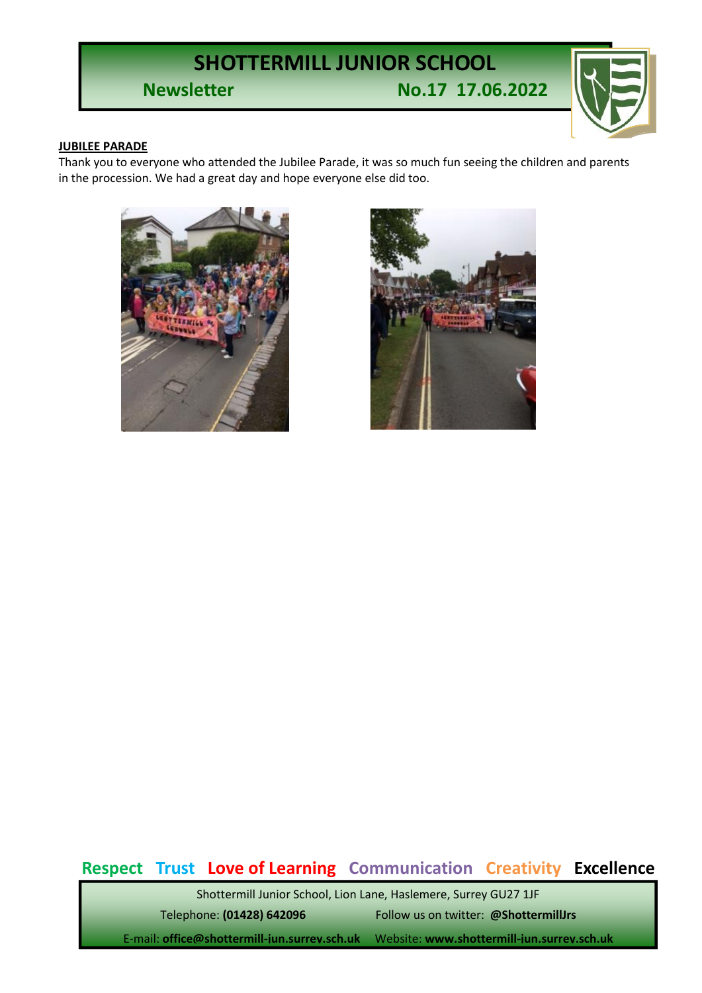**Newsletter No.17 17.06.2022**



#### **JUBILEE PARADE**

Thank you to everyone who attended the Jubilee Parade, it was so much fun seeing the children and parents in the procession. We had a great day and hope everyone else did too.





## **Respect Trust Love of Learning Communication Creativity Excellence**

Shottermill Junior School, Lion Lane, Haslemere, Surrey GU27 1JF Telephone: **(01428) 642096** Follow us on twitter: **@ShottermillJrs**